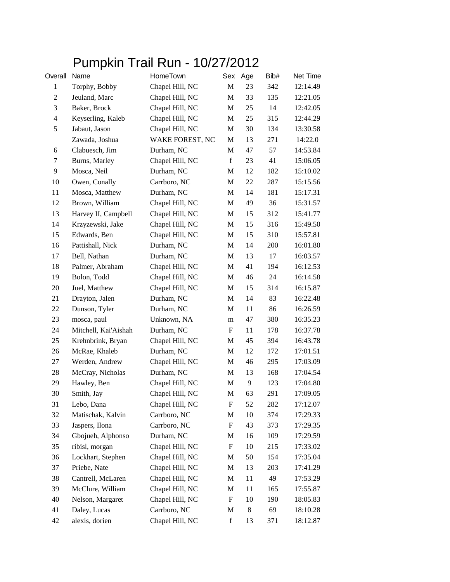## Pumpkin Trail Run - 10/27/2012

| Overall        | Name                 | HomeTown        | Sex                       | Age   | Bib# | Net Time |
|----------------|----------------------|-----------------|---------------------------|-------|------|----------|
| $\mathbf{1}$   | Torphy, Bobby        | Chapel Hill, NC | $\mathbf M$               | 23    | 342  | 12:14.49 |
| $\overline{c}$ | Jeuland, Marc        | Chapel Hill, NC | M                         | 33    | 135  | 12:21.05 |
| 3              | Baker, Brock         | Chapel Hill, NC | M                         | 25    | 14   | 12:42.05 |
| $\overline{4}$ | Keyserling, Kaleb    | Chapel Hill, NC | M                         | 25    | 315  | 12:44.29 |
| 5              | Jabaut, Jason        | Chapel Hill, NC | M                         | 30    | 134  | 13:30.58 |
|                | Zawada, Joshua       | WAKE FOREST, NC | M                         | 13    | 271  | 14:22.0  |
| 6              | Clabuesch, Jim       | Durham, NC      | M                         | 47    | 57   | 14:53.84 |
| 7              | Burns, Marley        | Chapel Hill, NC | $\mathbf f$               | 23    | 41   | 15:06.05 |
| 9              | Mosca, Neil          | Durham, NC      | M                         | 12    | 182  | 15:10.02 |
| 10             | Owen, Conally        | Carrboro, NC    | M                         | 22    | 287  | 15:15.56 |
| 11             | Mosca, Matthew       | Durham, NC      | M                         | 14    | 181  | 15:17.31 |
| 12             | Brown, William       | Chapel Hill, NC | M                         | 49    | 36   | 15:31.57 |
| 13             | Harvey II, Campbell  | Chapel Hill, NC | M                         | 15    | 312  | 15:41.77 |
| 14             | Krzyzewski, Jake     | Chapel Hill, NC | M                         | 15    | 316  | 15:49.50 |
| 15             | Edwards, Ben         | Chapel Hill, NC | M                         | 15    | 310  | 15:57.81 |
| 16             | Pattishall, Nick     | Durham, NC      | M                         | 14    | 200  | 16:01.80 |
| 17             | Bell, Nathan         | Durham, NC      | M                         | 13    | 17   | 16:03.57 |
| 18             | Palmer, Abraham      | Chapel Hill, NC | M                         | 41    | 194  | 16:12.53 |
| 19             | Bolon, Todd          | Chapel Hill, NC | M                         | 46    | 24   | 16:14.58 |
| 20             | Juel, Matthew        | Chapel Hill, NC | M                         | 15    | 314  | 16:15.87 |
| 21             | Drayton, Jalen       | Durham, NC      | M                         | 14    | 83   | 16:22.48 |
| 22             | Dunson, Tyler        | Durham, NC      | M                         | 11    | 86   | 16:26.59 |
| 23             | mosca, paul          | Unknown, NA     | m                         | 47    | 380  | 16:35.23 |
| 24             | Mitchell, Kai'Aishah | Durham, NC      | $\boldsymbol{\mathrm{F}}$ | 11    | 178  | 16:37.78 |
| 25             | Krehnbrink, Bryan    | Chapel Hill, NC | M                         | 45    | 394  | 16:43.78 |
| 26             | McRae, Khaleb        | Durham, NC      | M                         | 12    | 172  | 17:01.51 |
| 27             | Werden, Andrew       | Chapel Hill, NC | M                         | 46    | 295  | 17:03.09 |
| 28             | McCray, Nicholas     | Durham, NC      | M                         | 13    | 168  | 17:04.54 |
| 29             | Hawley, Ben          | Chapel Hill, NC | M                         | 9     | 123  | 17:04.80 |
| 30             | Smith, Jay           | Chapel Hill, NC | M                         | 63    | 291  | 17:09.05 |
| 31             | Lebo, Dana           | Chapel Hill, NC | F                         | 52    | 282  | 17:12.07 |
| 32             | Matischak, Kalvin    | Carrboro, NC    | M                         | 10    | 374  | 17:29.33 |
| 33             | Jaspers, Ilona       | Carrboro, NC    | ${\bf F}$                 | 43    | 373  | 17:29.35 |
| 34             | Gbojueh, Alphonso    | Durham, NC      | M                         | 16    | 109  | 17:29.59 |
| 35             | ribisl, morgan       | Chapel Hill, NC | F                         | 10    | 215  | 17:33.02 |
| 36             | Lockhart, Stephen    | Chapel Hill, NC | M                         | 50    | 154  | 17:35.04 |
| 37             | Priebe, Nate         | Chapel Hill, NC | M                         | 13    | 203  | 17:41.29 |
| 38             | Cantrell, McLaren    | Chapel Hill, NC | M                         | 11    | 49   | 17:53.29 |
| 39             | McClure, William     | Chapel Hill, NC | M                         | 11    | 165  | 17:55.87 |
| 40             | Nelson, Margaret     | Chapel Hill, NC | F                         | 10    | 190  | 18:05.83 |
| 41             | Daley, Lucas         | Carrboro, NC    | M                         | $8\,$ | 69   | 18:10.28 |
| 42             | alexis, dorien       | Chapel Hill, NC | $\mathbf f$               | 13    | 371  | 18:12.87 |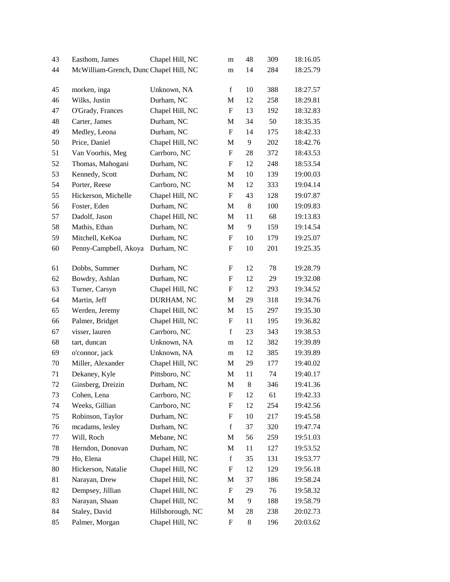| 43 | Easthom, James                         | Chapel Hill, NC  | m                         | 48    | 309 | 18:16.05 |
|----|----------------------------------------|------------------|---------------------------|-------|-----|----------|
| 44 | McWilliam-Grench, Dunc Chapel Hill, NC |                  | m                         | 14    | 284 | 18:25.79 |
| 45 | morken, inga                           | Unknown, NA      | f                         | 10    | 388 | 18:27.57 |
| 46 | Wilks, Justin                          | Durham, NC       | M                         | 12    | 258 | 18:29.81 |
| 47 | O'Grady, Frances                       | Chapel Hill, NC  | $\boldsymbol{\mathrm{F}}$ | 13    | 192 | 18:32.83 |
| 48 | Carter, James                          | Durham, NC       | M                         | 34    | 50  | 18:35.35 |
| 49 | Medley, Leona                          | Durham, NC       | F                         | 14    | 175 | 18:42.33 |
| 50 | Price, Daniel                          | Chapel Hill, NC  | M                         | 9     | 202 | 18:42.76 |
| 51 | Van Voorhis, Meg                       | Carrboro, NC     | F                         | 28    | 372 | 18:43.53 |
| 52 | Thomas, Mahogani                       | Durham, NC       | F                         | 12    | 248 | 18:53.54 |
| 53 | Kennedy, Scott                         | Durham, NC       | M                         | 10    | 139 | 19:00.03 |
| 54 | Porter, Reese                          | Carrboro, NC     | M                         | 12    | 333 | 19:04.14 |
| 55 | Hickerson, Michelle                    | Chapel Hill, NC  | $\boldsymbol{\mathrm{F}}$ | 43    | 128 | 19:07.87 |
| 56 | Foster, Eden                           | Durham, NC       | M                         | $8\,$ | 100 | 19:09.83 |
| 57 | Dadolf, Jason                          | Chapel Hill, NC  | M                         | 11    | 68  | 19:13.83 |
| 58 | Mathis, Ethan                          | Durham, NC       | M                         | 9     | 159 | 19:14.54 |
| 59 | Mitchell, KeKoa                        | Durham, NC       | F                         | 10    | 179 | 19:25.07 |
| 60 | Penny-Campbell, Akoya                  | Durham, NC       | F                         | 10    | 201 | 19:25.35 |
|    |                                        |                  |                           |       |     |          |
| 61 | Dobbs, Summer                          | Durham, NC       | F                         | 12    | 78  | 19:28.79 |
| 62 | Bowdry, Ashlan                         | Durham, NC       | F                         | 12    | 29  | 19:32.08 |
| 63 | Turner, Carsyn                         | Chapel Hill, NC  | F                         | 12    | 293 | 19:34.52 |
| 64 | Martin, Jeff                           | DURHAM, NC       | M                         | 29    | 318 | 19:34.76 |
| 65 | Werden, Jeremy                         | Chapel Hill, NC  | M                         | 15    | 297 | 19:35.30 |
| 66 | Palmer, Bridget                        | Chapel Hill, NC  | F                         | 11    | 195 | 19:36.82 |
| 67 | visser, lauren                         | Carrboro, NC     | $\mathbf f$               | 23    | 343 | 19:38.53 |
| 68 | tart, duncan                           | Unknown, NA      | m                         | 12    | 382 | 19:39.89 |
| 69 | o'connor, jack                         | Unknown, NA      | m                         | 12    | 385 | 19:39.89 |
| 70 | Miller, Alexander                      | Chapel Hill, NC  | M                         | 29    | 177 | 19:40.02 |
| 71 | Dekaney, Kyle                          | Pittsboro, NC    | M                         | 11    | 74  | 19:40.17 |
| 72 | Ginsberg, Dreizin                      | Durham, NC       | M                         | 8     | 346 | 19:41.36 |
| 73 | Cohen, Lena                            | Carrboro, NC     | F                         | 12    | 61  | 19:42.33 |
| 74 | Weeks, Gillian                         | Carrboro, NC     | F                         | 12    | 254 | 19:42.56 |
| 75 | Robinson, Taylor                       | Durham, NC       | F                         | 10    | 217 | 19:45.58 |
| 76 | mcadams, lesley                        | Durham, NC       | f                         | 37    | 320 | 19:47.74 |
| 77 | Will, Roch                             | Mebane, NC       | M                         | 56    | 259 | 19:51.03 |
| 78 | Herndon, Donovan                       | Durham, NC       | M                         | 11    | 127 | 19:53.52 |
| 79 | Ho, Elena                              | Chapel Hill, NC  | $\mathbf f$               | 35    | 131 | 19:53.77 |
| 80 | Hickerson, Natalie                     | Chapel Hill, NC  | F                         | 12    | 129 | 19:56.18 |
| 81 | Narayan, Drew                          | Chapel Hill, NC  | M                         | 37    | 186 | 19:58.24 |
| 82 | Dempsey, Jillian                       | Chapel Hill, NC  | $\boldsymbol{\mathrm{F}}$ | 29    | 76  | 19:58.32 |
| 83 | Narayan, Shaan                         | Chapel Hill, NC  | M                         | 9     | 188 | 19:58.79 |
| 84 | Staley, David                          | Hillsborough, NC | M                         | 28    | 238 | 20:02.73 |
| 85 | Palmer, Morgan                         | Chapel Hill, NC  | $\boldsymbol{\mathrm{F}}$ | 8     | 196 | 20:03.62 |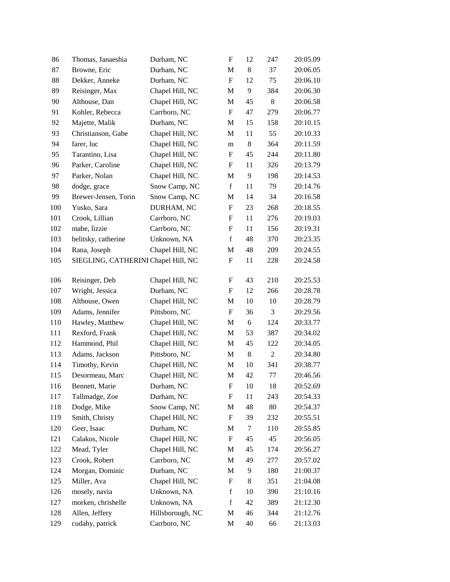| 86  | Thomas, Janaeshia                   | Durham, NC       | $\boldsymbol{\mathrm{F}}$ | 12         | 247            | 20:05.09 |
|-----|-------------------------------------|------------------|---------------------------|------------|----------------|----------|
| 87  | Browne, Eric                        | Durham, NC       | M                         | 8          | 37             | 20:06.05 |
| 88  | Dekker, Anneke                      | Durham, NC       | $\boldsymbol{\mathrm{F}}$ | 12         | 75             | 20:06.10 |
| 89  | Reisinger, Max                      | Chapel Hill, NC  | M                         | 9          | 384            | 20:06.30 |
| 90  | Althouse, Dan                       | Chapel Hill, NC  | M                         | 45         | 8              | 20:06.58 |
| 91  | Kohler, Rebecca                     | Carrboro, NC     | $\mathbf F$               | 47         | 279            | 20:06.77 |
| 92  | Majette, Malik                      | Durham, NC       | M                         | 15         | 158            | 20:10.15 |
| 93  | Christianson, Gabe                  | Chapel Hill, NC  | M                         | 11         | 55             | 20:10.33 |
| 94  | farer, luc                          | Chapel Hill, NC  | m                         | $8\,$      | 364            | 20:11.59 |
| 95  | Tarantino, Lisa                     | Chapel Hill, NC  | $\boldsymbol{\mathrm{F}}$ | 45         | 244            | 20:11.80 |
| 96  | Parker, Caroline                    | Chapel Hill, NC  | $\boldsymbol{\mathrm{F}}$ | 11         | 326            | 20:13.79 |
| 97  | Parker, Nolan                       | Chapel Hill, NC  | M                         | 9          | 198            | 20:14.53 |
| 98  | dodge, grace                        | Snow Camp, NC    | $\mathbf f$               | 11         | 79             | 20:14.76 |
| 99  | Brewer-Jensen, Torin                | Snow Camp, NC    | M                         | 14         | 34             | 20:16.58 |
| 100 | Yusko, Sara                         | DURHAM, NC       | F                         | 23         | 268            | 20:18.55 |
| 101 | Crook, Lillian                      | Carrboro, NC     | $\boldsymbol{\mathrm{F}}$ | 11         | 276            | 20:19.03 |
| 102 | mabe, lizzie                        | Carrboro, NC     | F                         | 11         | 156            | 20:19.31 |
| 103 | belitsky, catherine                 | Unknown, NA      | f                         | 48         | 370            | 20:23.35 |
| 104 | Rana, Joseph                        | Chapel Hill, NC  | M                         | 48         | 209            | 20:24.55 |
| 105 | SIEGLING, CATHERINI Chapel Hill, NC |                  | F                         | 11         | 228            | 20:24.58 |
| 106 | Reisinger, Deb                      | Chapel Hill, NC  | F                         | 43         | 210            | 20:25.53 |
| 107 | Wright, Jessica                     | Durham, NC       | F                         | 12         | 266            | 20:28.78 |
| 108 | Althouse, Owen                      | Chapel Hill, NC  | M                         | 10         | 10             | 20:28.79 |
| 109 | Adams, Jennifer                     | Pittsboro, NC    | $\boldsymbol{\mathrm{F}}$ | 36         | 3              | 20:29.56 |
| 110 | Hawley, Matthew                     | Chapel Hill, NC  | M                         | $\sqrt{6}$ | 124            | 20:33.77 |
| 111 | Rexford, Frank                      | Chapel Hill, NC  | M                         | 53         | 387            | 20:34.02 |
| 112 | Hammond, Phil                       | Chapel Hill, NC  | M                         | 45         | 122            | 20:34.05 |
| 113 | Adams, Jackson                      | Pittsboro, NC    | M                         | $8\,$      | $\overline{2}$ | 20:34.80 |
| 114 | Timothy, Kevin                      | Chapel Hill, NC  | M                         | 10         | 341            | 20:38.77 |
| 115 | Desormeau, Marc                     | Chapel Hill, NC  | M                         | 42         | 77             | 20:46.56 |
| 116 | Bennett, Marie                      | Durham, NC       | $\mathbf F$               | 10         | 18             | 20:52.69 |
| 117 | Tallmadge, Zoe                      | Durham, NC       | F                         | 11         | 243            | 20:54.33 |
| 118 | Dodge, Mike                         | Snow Camp, NC    | M                         | 48         | 80             | 20:54.37 |
| 119 | Smith, Christy                      | Chapel Hill, NC  | F                         | 39         | 232            | 20:55.51 |
| 120 | Geer, Isaac                         | Durham, NC       | M                         | 7          | 110            | 20:55.85 |
| 121 | Calakos, Nicole                     | Chapel Hill, NC  | $\boldsymbol{\mathrm{F}}$ | 45         | 45             | 20:56.05 |
| 122 | Mead, Tyler                         | Chapel Hill, NC  | M                         | 45         | 174            | 20:56.27 |
| 123 | Crook, Robert                       | Carrboro, NC     | M                         | 49         | 277            | 20:57.02 |
| 124 | Morgan, Dominic                     | Durham, NC       | M                         | 9          | 180            | 21:00.37 |
| 125 | Miller, Ava                         | Chapel Hill, NC  | F                         | 8          | 351            | 21:04.08 |
| 126 | mosely, navia                       | Unknown, NA      | $\mathbf f$               | 10         | 390            | 21:10.16 |
| 127 | morken, chrishelle                  | Unknown, NA      | $\mathbf f$               | 42         | 389            | 21:12.30 |
| 128 | Allen, Jeffery                      | Hillsborough, NC | M                         | 46         | 344            | 21:12.76 |
| 129 | cudahy, patrick                     | Carrboro, NC     | M                         | 40         | 66             | 21:13.03 |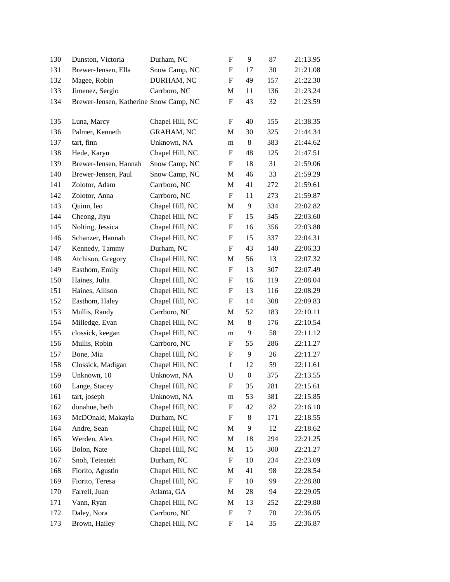| 130 | Dunston, Victoria                      | Durham, NC        | $\boldsymbol{\mathrm{F}}$ | 9                | 87  | 21:13.95 |
|-----|----------------------------------------|-------------------|---------------------------|------------------|-----|----------|
| 131 | Brewer-Jensen, Ella                    | Snow Camp, NC     | $\boldsymbol{\mathrm{F}}$ | 17               | 30  | 21:21.08 |
| 132 | Magee, Robin                           | DURHAM, NC        | $\boldsymbol{\mathrm{F}}$ | 49               | 157 | 21:22.30 |
| 133 | Jimenez, Sergio                        | Carrboro, NC      | M                         | 11               | 136 | 21:23.24 |
| 134 | Brewer-Jensen, Katherine Snow Camp, NC |                   | $\boldsymbol{\mathrm{F}}$ | 43               | 32  | 21:23.59 |
| 135 | Luna, Marcy                            | Chapel Hill, NC   | F                         | 40               | 155 | 21:38.35 |
| 136 | Palmer, Kenneth                        | <b>GRAHAM, NC</b> | M                         | 30               | 325 | 21:44.34 |
| 137 | tart, finn                             | Unknown, NA       | m                         | 8                | 383 | 21:44.62 |
| 138 | Hede, Karyn                            | Chapel Hill, NC   | $\boldsymbol{\mathrm{F}}$ | 48               | 125 | 21:47.51 |
| 139 | Brewer-Jensen, Hannah                  | Snow Camp, NC     | $\boldsymbol{\mathrm{F}}$ | 18               | 31  | 21:59.06 |
| 140 | Brewer-Jensen, Paul                    | Snow Camp, NC     | M                         | 46               | 33  | 21:59.29 |
| 141 | Zolotor, Adam                          | Carrboro, NC      | M                         | 41               | 272 | 21:59.61 |
| 142 | Zolotor, Anna                          | Carrboro, NC      | $\boldsymbol{\mathrm{F}}$ | 11               | 273 | 21:59.87 |
| 143 | Quinn, leo                             | Chapel Hill, NC   | M                         | 9                | 334 | 22:02.82 |
| 144 | Cheong, Jiyu                           | Chapel Hill, NC   | $\boldsymbol{\mathrm{F}}$ | 15               | 345 | 22:03.60 |
| 145 | Nolting, Jessica                       | Chapel Hill, NC   | F                         | 16               | 356 | 22:03.88 |
| 146 | Schanzer, Hannah                       | Chapel Hill, NC   | F                         | 15               | 337 | 22:04.31 |
| 147 | Kennedy, Tammy                         | Durham, NC        | $\boldsymbol{\mathrm{F}}$ | 43               | 140 | 22:06.33 |
| 148 | Atchison, Gregory                      | Chapel Hill, NC   | M                         | 56               | 13  | 22:07.32 |
| 149 | Easthom, Emily                         | Chapel Hill, NC   | $\boldsymbol{\mathrm{F}}$ | 13               | 307 | 22:07.49 |
| 150 | Haines, Julia                          | Chapel Hill, NC   | F                         | 16               | 119 | 22:08.04 |
| 151 | Haines, Allison                        | Chapel Hill, NC   | F                         | 13               | 116 | 22:08.29 |
| 152 | Easthom, Haley                         | Chapel Hill, NC   | $\boldsymbol{\mathrm{F}}$ | 14               | 308 | 22:09.83 |
| 153 | Mullis, Randy                          | Carrboro, NC      | M                         | 52               | 183 | 22:10.11 |
| 154 | Milledge, Evan                         | Chapel Hill, NC   | M                         | 8                | 176 | 22:10.54 |
| 155 | clossick, keegan                       | Chapel Hill, NC   | m                         | 9                | 58  | 22:11.12 |
| 156 | Mullis, Robin                          | Carrboro, NC      | F                         | 55               | 286 | 22:11.27 |
| 157 | Bone, Mia                              | Chapel Hill, NC   | F                         | 9                | 26  | 22:11.27 |
| 158 | Clossick, Madigan                      | Chapel Hill, NC   | $\mathbf f$               | 12               | 59  | 22:11.61 |
| 159 | Unknown, 10                            | Unknown, NA       | $\mathbf U$               | $\boldsymbol{0}$ | 375 | 22:13.55 |
| 160 | Lange, Stacey                          | Chapel Hill, NC   | ${\bf F}$                 | 35               | 281 | 22:15.61 |
| 161 | tart, joseph                           | Unknown, NA       | m                         | 53               | 381 | 22:15.85 |
| 162 | donahue, beth                          | Chapel Hill, NC   | F                         | 42               | 82  | 22:16.10 |
| 163 | McDOnald, Makayla                      | Durham, NC        | F                         | 8                | 171 | 22:18.55 |
| 164 | Andre, Sean                            | Chapel Hill, NC   | M                         | 9                | 12  | 22:18.62 |
| 165 | Werden, Alex                           | Chapel Hill, NC   | M                         | 18               | 294 | 22:21.25 |
| 166 | Bolon, Nate                            | Chapel Hill, NC   | M                         | 15               | 300 | 22:21.27 |
| 167 | Snoh, Teteateh                         | Durham, NC        | F                         | 10               | 234 | 22:23.09 |
| 168 | Fiorito, Agustin                       | Chapel Hill, NC   | M                         | 41               | 98  | 22:28.54 |
| 169 | Fiorito, Teresa                        | Chapel Hill, NC   | $\boldsymbol{\mathrm{F}}$ | 10               | 99  | 22:28.80 |
| 170 | Farrell, Juan                          | Atlanta, GA       | M                         | 28               | 94  | 22:29.05 |
| 171 | Vann, Ryan                             | Chapel Hill, NC   | M                         | 13               | 252 | 22:29.80 |
| 172 | Daley, Nora                            | Carrboro, NC      | F                         | 7                | 70  | 22:36.05 |
| 173 | Brown, Hailey                          | Chapel Hill, NC   | F                         | 14               | 35  | 22:36.87 |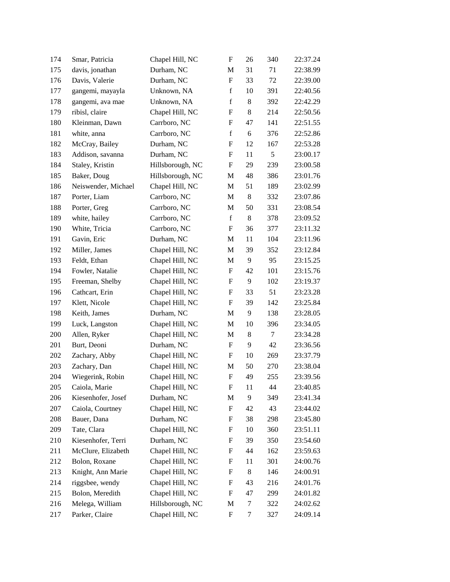| 174 | Smar, Patricia      | Chapel Hill, NC  | $\boldsymbol{\mathrm{F}}$ | 26    | 340    | 22:37.24 |
|-----|---------------------|------------------|---------------------------|-------|--------|----------|
| 175 | davis, jonathan     | Durham, NC       | M                         | 31    | 71     | 22:38.99 |
| 176 | Davis, Valerie      | Durham, NC       | $\boldsymbol{\mathrm{F}}$ | 33    | 72     | 22:39.00 |
| 177 | gangemi, mayayla    | Unknown, NA      | $\mathbf f$               | 10    | 391    | 22:40.56 |
| 178 | gangemi, ava mae    | Unknown, NA      | $\mathbf f$               | 8     | 392    | 22:42.29 |
| 179 | ribisl, claire      | Chapel Hill, NC  | $\boldsymbol{\mathrm{F}}$ | 8     | 214    | 22:50.56 |
| 180 | Kleinman, Dawn      | Carrboro, NC     | F                         | 47    | 141    | 22:51.55 |
| 181 | white, anna         | Carrboro, NC     | $\mathbf f$               | 6     | 376    | 22:52.86 |
| 182 | McCray, Bailey      | Durham, NC       | F                         | 12    | 167    | 22:53.28 |
| 183 | Addison, savanna    | Durham, NC       | F                         | 11    | 5      | 23:00.17 |
| 184 | Staley, Kristin     | Hillsborough, NC | $\boldsymbol{\mathrm{F}}$ | 29    | 239    | 23:00.58 |
| 185 | Baker, Doug         | Hillsborough, NC | M                         | 48    | 386    | 23:01.76 |
| 186 | Neiswender, Michael | Chapel Hill, NC  | $\mathbf M$               | 51    | 189    | 23:02.99 |
| 187 | Porter, Liam        | Carrboro, NC     | M                         | 8     | 332    | 23:07.86 |
| 188 | Porter, Greg        | Carrboro, NC     | M                         | 50    | 331    | 23:08.54 |
| 189 | white, hailey       | Carrboro, NC     | $\mathbf f$               | $8\,$ | 378    | 23:09.52 |
| 190 | White, Tricia       | Carrboro, NC     | F                         | 36    | 377    | 23:11.32 |
| 191 | Gavin, Eric         | Durham, NC       | M                         | 11    | 104    | 23:11.96 |
| 192 | Miller, James       | Chapel Hill, NC  | M                         | 39    | 352    | 23:12.84 |
| 193 | Feldt, Ethan        | Chapel Hill, NC  | M                         | 9     | 95     | 23:15.25 |
| 194 | Fowler, Natalie     | Chapel Hill, NC  | F                         | 42    | 101    | 23:15.76 |
| 195 | Freeman, Shelby     | Chapel Hill, NC  | F                         | 9     | 102    | 23:19.37 |
| 196 | Cathcart, Erin      | Chapel Hill, NC  | F                         | 33    | 51     | 23:23.28 |
| 197 | Klett, Nicole       | Chapel Hill, NC  | F                         | 39    | 142    | 23:25.84 |
| 198 | Keith, James        | Durham, NC       | M                         | 9     | 138    | 23:28.05 |
| 199 | Luck, Langston      | Chapel Hill, NC  | M                         | 10    | 396    | 23:34.05 |
| 200 | Allen, Ryker        | Chapel Hill, NC  | M                         | 8     | $\tau$ | 23:34.28 |
| 201 | Burt, Deoni         | Durham, NC       | $\boldsymbol{\mathrm{F}}$ | 9     | 42     | 23:36.56 |
| 202 | Zachary, Abby       | Chapel Hill, NC  | $\boldsymbol{F}$          | 10    | 269    | 23:37.79 |
| 203 | Zachary, Dan        | Chapel Hill, NC  | M                         | 50    | 270    | 23:38.04 |
| 204 | Wiegerink, Robin    | Chapel Hill, NC  | F                         | 49    | 255    | 23:39.56 |
| 205 | Caiola, Marie       | Chapel Hill, NC  | F                         | 11    | 44     | 23:40.85 |
| 206 | Kiesenhofer, Josef  | Durham, NC       | M                         | 9     | 349    | 23:41.34 |
| 207 | Caiola, Courtney    | Chapel Hill, NC  | F                         | 42    | 43     | 23:44.02 |
| 208 | Bauer, Dana         | Durham, NC       | F                         | 38    | 298    | 23:45.80 |
| 209 | Tate, Clara         | Chapel Hill, NC  | F                         | 10    | 360    | 23:51.11 |
| 210 | Kiesenhofer, Terri  | Durham, NC       | F                         | 39    | 350    | 23:54.60 |
| 211 | McClure, Elizabeth  | Chapel Hill, NC  | F                         | 44    | 162    | 23:59.63 |
| 212 | Bolon, Roxane       | Chapel Hill, NC  | F                         | 11    | 301    | 24:00.76 |
| 213 | Knight, Ann Marie   | Chapel Hill, NC  | F                         | 8     | 146    | 24:00.91 |
| 214 | riggsbee, wendy     | Chapel Hill, NC  | F                         | 43    | 216    | 24:01.76 |
| 215 | Bolon, Meredith     | Chapel Hill, NC  | F                         | 47    | 299    | 24:01.82 |
| 216 | Melega, William     | Hillsborough, NC | M                         | 7     | 322    | 24:02.62 |
| 217 | Parker, Claire      | Chapel Hill, NC  | F                         | 7     | 327    | 24:09.14 |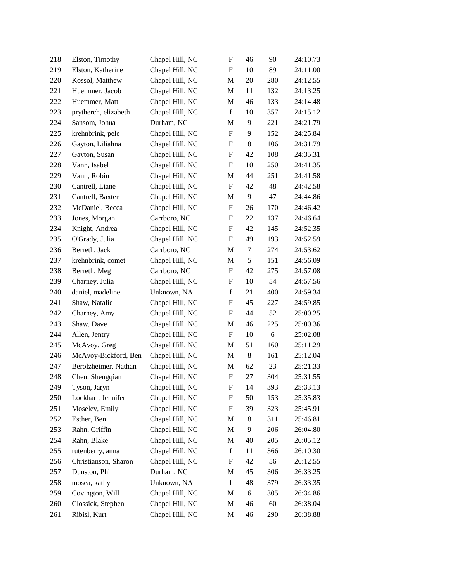| 218 | Elston, Timothy      | Chapel Hill, NC | $\boldsymbol{\mathrm{F}}$ | 46            | 90  | 24:10.73 |
|-----|----------------------|-----------------|---------------------------|---------------|-----|----------|
| 219 | Elston, Katherine    | Chapel Hill, NC | $\boldsymbol{\mathrm{F}}$ | 10            | 89  | 24:11.00 |
| 220 | Kossol, Matthew      | Chapel Hill, NC | M                         | 20            | 280 | 24:12.55 |
| 221 | Huemmer, Jacob       | Chapel Hill, NC | M                         | 11            | 132 | 24:13.25 |
| 222 | Huemmer, Matt        | Chapel Hill, NC | M                         | 46            | 133 | 24:14.48 |
| 223 | prytherch, elizabeth | Chapel Hill, NC | $\mathbf f$               | 10            | 357 | 24:15.12 |
| 224 | Sansom, Johua        | Durham, NC      | M                         | 9             | 221 | 24:21.79 |
| 225 | krehnbrink, pele     | Chapel Hill, NC | $\boldsymbol{\mathrm{F}}$ | 9             | 152 | 24:25.84 |
| 226 | Gayton, Liliahna     | Chapel Hill, NC | F                         | 8             | 106 | 24:31.79 |
| 227 | Gayton, Susan        | Chapel Hill, NC | F                         | 42            | 108 | 24:35.31 |
| 228 | Vann, Isabel         | Chapel Hill, NC | $\boldsymbol{\mathrm{F}}$ | 10            | 250 | 24:41.35 |
| 229 | Vann, Robin          | Chapel Hill, NC | M                         | 44            | 251 | 24:41.58 |
| 230 | Cantrell, Liane      | Chapel Hill, NC | $\boldsymbol{\mathrm{F}}$ | 42            | 48  | 24:42.58 |
| 231 | Cantrell, Baxter     | Chapel Hill, NC | M                         | 9             | 47  | 24:44.86 |
| 232 | McDaniel, Becca      | Chapel Hill, NC | F                         | 26            | 170 | 24:46.42 |
| 233 | Jones, Morgan        | Carrboro, NC    | F                         | 22            | 137 | 24:46.64 |
| 234 | Knight, Andrea       | Chapel Hill, NC | F                         | 42            | 145 | 24:52.35 |
| 235 | O'Grady, Julia       | Chapel Hill, NC | $\boldsymbol{\mathrm{F}}$ | 49            | 193 | 24:52.59 |
| 236 | Berreth, Jack        | Carrboro, NC    | M                         | 7             | 274 | 24:53.62 |
| 237 | krehnbrink, comet    | Chapel Hill, NC | M                         | $\mathfrak s$ | 151 | 24:56.09 |
| 238 | Berreth, Meg         | Carrboro, NC    | F                         | 42            | 275 | 24:57.08 |
| 239 | Charney, Julia       | Chapel Hill, NC | F                         | 10            | 54  | 24:57.56 |
| 240 | daniel, madeline     | Unknown, NA     | $\mathbf f$               | 21            | 400 | 24:59.34 |
| 241 | Shaw, Natalie        | Chapel Hill, NC | F                         | 45            | 227 | 24:59.85 |
| 242 | Charney, Amy         | Chapel Hill, NC | F                         | 44            | 52  | 25:00.25 |
| 243 | Shaw, Dave           | Chapel Hill, NC | M                         | 46            | 225 | 25:00.36 |
| 244 | Allen, Jentry        | Chapel Hill, NC | F                         | 10            | 6   | 25:02.08 |
| 245 | McAvoy, Greg         | Chapel Hill, NC | M                         | 51            | 160 | 25:11.29 |
| 246 | McAvoy-Bickford, Ben | Chapel Hill, NC | M                         | 8             | 161 | 25:12.04 |
| 247 | Berolzheimer, Nathan | Chapel Hill, NC | M                         | 62            | 23  | 25:21.33 |
| 248 | Chen, Shengqian      | Chapel Hill, NC | F                         | 27            | 304 | 25:31.55 |
| 249 | Tyson, Jaryn         | Chapel Hill, NC | F                         | 14            | 393 | 25:33.13 |
| 250 | Lockhart, Jennifer   | Chapel Hill, NC | F                         | 50            | 153 | 25:35.83 |
| 251 | Moseley, Emily       | Chapel Hill, NC | F                         | 39            | 323 | 25:45.91 |
| 252 | Esther, Ben          | Chapel Hill, NC | M                         | 8             | 311 | 25:46.81 |
| 253 | Rahn, Griffin        | Chapel Hill, NC | M                         | 9             | 206 | 26:04.80 |
| 254 | Rahn, Blake          | Chapel Hill, NC | M                         | 40            | 205 | 26:05.12 |
| 255 | rutenberry, anna     | Chapel Hill, NC | $\mathbf f$               | 11            | 366 | 26:10.30 |
| 256 | Christianson, Sharon | Chapel Hill, NC | F                         | 42            | 56  | 26:12.55 |
| 257 | Dunston, Phil        | Durham, NC      | M                         | 45            | 306 | 26:33.25 |
| 258 | mosea, kathy         | Unknown, NA     | $\mathbf f$               | 48            | 379 | 26:33.35 |
| 259 | Covington, Will      | Chapel Hill, NC | M                         | 6             | 305 | 26:34.86 |
| 260 | Clossick, Stephen    | Chapel Hill, NC | M                         | 46            | 60  | 26:38.04 |
| 261 | Ribisl, Kurt         | Chapel Hill, NC | M                         | 46            | 290 | 26:38.88 |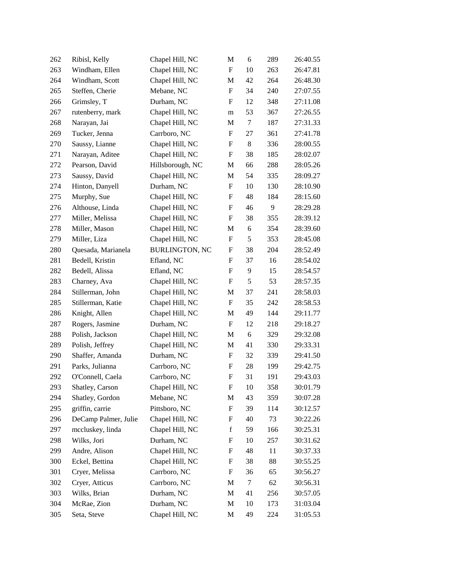| 262 | Ribisl, Kelly        | Chapel Hill, NC       | M                         | 6          | 289 | 26:40.55 |
|-----|----------------------|-----------------------|---------------------------|------------|-----|----------|
| 263 | Windham, Ellen       | Chapel Hill, NC       | $\boldsymbol{\mathrm{F}}$ | 10         | 263 | 26:47.81 |
| 264 | Windham, Scott       | Chapel Hill, NC       | $\mathbf M$               | 42         | 264 | 26:48.30 |
| 265 | Steffen, Cherie      | Mebane, NC            | $\boldsymbol{\mathrm{F}}$ | 34         | 240 | 27:07.55 |
| 266 | Grimsley, T          | Durham, NC            | F                         | 12         | 348 | 27:11.08 |
| 267 | rutenberry, mark     | Chapel Hill, NC       | m                         | 53         | 367 | 27:26.55 |
| 268 | Narayan, Jai         | Chapel Hill, NC       | $\mathbf M$               | $\tau$     | 187 | 27:31.33 |
| 269 | Tucker, Jenna        | Carrboro, NC          | F                         | 27         | 361 | 27:41.78 |
| 270 | Saussy, Lianne       | Chapel Hill, NC       | F                         | $8\,$      | 336 | 28:00.55 |
| 271 | Narayan, Aditee      | Chapel Hill, NC       | F                         | 38         | 185 | 28:02.07 |
| 272 | Pearson, David       | Hillsborough, NC      | $\mathbf M$               | 66         | 288 | 28:05.26 |
| 273 | Saussy, David        | Chapel Hill, NC       | $\mathbf M$               | 54         | 335 | 28:09.27 |
| 274 | Hinton, Danyell      | Durham, NC            | F                         | 10         | 130 | 28:10.90 |
| 275 | Murphy, Sue          | Chapel Hill, NC       | F                         | 48         | 184 | 28:15.60 |
| 276 | Althouse, Linda      | Chapel Hill, NC       | F                         | 46         | 9   | 28:29.28 |
| 277 | Miller, Melissa      | Chapel Hill, NC       | $\boldsymbol{\mathrm{F}}$ | 38         | 355 | 28:39.12 |
| 278 | Miller, Mason        | Chapel Hill, NC       | $\mathbf M$               | 6          | 354 | 28:39.60 |
| 279 | Miller, Liza         | Chapel Hill, NC       | $\boldsymbol{\mathrm{F}}$ | $\sqrt{5}$ | 353 | 28:45.08 |
| 280 | Quesada, Marianela   | <b>BURLINGTON, NC</b> | F                         | 38         | 204 | 28:52.49 |
| 281 | Bedell, Kristin      | Efland, NC            | F                         | 37         | 16  | 28:54.02 |
| 282 | Bedell, Alissa       | Efland, NC            | $\boldsymbol{\mathrm{F}}$ | 9          | 15  | 28:54.57 |
| 283 | Charney, Ava         | Chapel Hill, NC       | F                         | 5          | 53  | 28:57.35 |
| 284 | Stillerman, John     | Chapel Hill, NC       | $\mathbf M$               | 37         | 241 | 28:58.03 |
| 285 | Stillerman, Katie    | Chapel Hill, NC       | ${\bf F}$                 | 35         | 242 | 28:58.53 |
| 286 | Knight, Allen        | Chapel Hill, NC       | M                         | 49         | 144 | 29:11.77 |
| 287 | Rogers, Jasmine      | Durham, NC            | $\boldsymbol{\mathrm{F}}$ | 12         | 218 | 29:18.27 |
| 288 | Polish, Jackson      | Chapel Hill, NC       | $\mathbf M$               | 6          | 329 | 29:32.08 |
| 289 | Polish, Jeffrey      | Chapel Hill, NC       | M                         | 41         | 330 | 29:33.31 |
| 290 | Shaffer, Amanda      | Durham, NC            | F                         | 32         | 339 | 29:41.50 |
| 291 | Parks, Julianna      | Carrboro, NC          | F                         | 28         | 199 | 29:42.75 |
| 292 | O'Connell, Caela     | Carrboro, NC          | ${\bf F}$                 | 31         | 191 | 29:43.03 |
| 293 | Shatley, Carson      | Chapel Hill, NC       | $\mathbf F$               | 10         | 358 | 30:01.79 |
| 294 | Shatley, Gordon      | Mebane, NC            | $\mathbf M$               | 43         | 359 | 30:07.28 |
| 295 | griffin, carrie      | Pittsboro, NC         | F                         | 39         | 114 | 30:12.57 |
| 296 | DeCamp Palmer, Julie | Chapel Hill, NC       | F                         | 40         | 73  | 30:22.26 |
| 297 | mccluskey, linda     | Chapel Hill, NC       | $\mathbf f$               | 59         | 166 | 30:25.31 |
| 298 | Wilks, Jori          | Durham, NC            | F                         | 10         | 257 | 30:31.62 |
| 299 | Andre, Alison        | Chapel Hill, NC       | F                         | 48         | 11  | 30:37.33 |
| 300 | Eckel, Bettina       | Chapel Hill, NC       | F                         | 38         | 88  | 30:55.25 |
| 301 | Cryer, Melissa       | Carrboro, NC          | F                         | 36         | 65  | 30:56.27 |
| 302 | Cryer, Atticus       | Carrboro, NC          | M                         | $\tau$     | 62  | 30:56.31 |
| 303 | Wilks, Brian         | Durham, NC            | M                         | 41         | 256 | 30:57.05 |
| 304 | McRae, Zion          | Durham, NC            | M                         | 10         | 173 | 31:03.04 |
| 305 | Seta, Steve          | Chapel Hill, NC       | M                         | 49         | 224 | 31:05.53 |